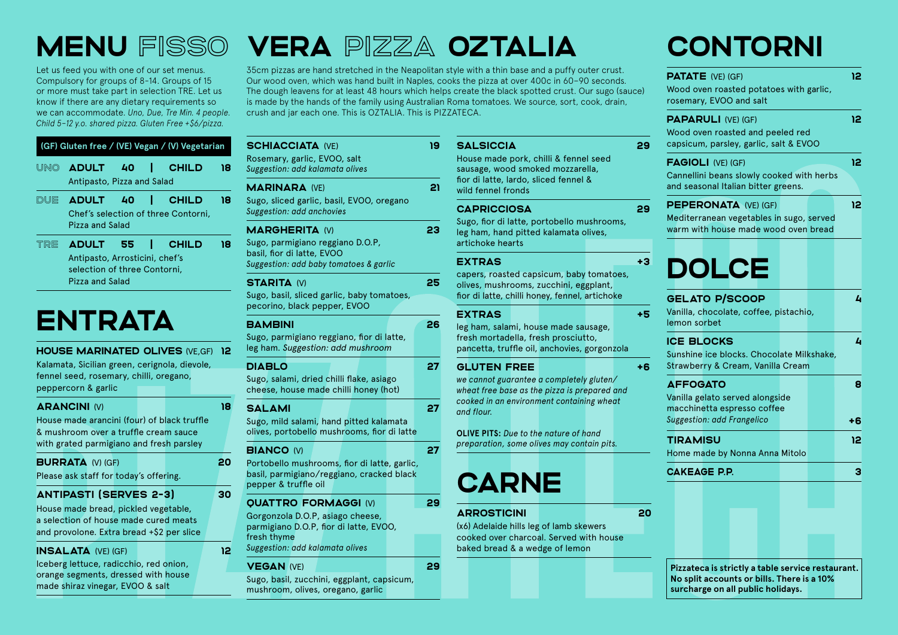Let us feed you with one of our set menus. Compulsory for groups of 8-14. Groups of 15 or more must take part in selection TRE. Let us know if there are any dietary requirements so we can accommodate. *Uno, Due, Tre Min. 4 people. Child 5–12 y.o. shared pizza. Gluten Free +\$6/pizza.*

|      |                                                                                    |    |   | (GF) Gluten free / (VE) Vegan / (V) Vegetarian      |    |
|------|------------------------------------------------------------------------------------|----|---|-----------------------------------------------------|----|
| UINO | ADULT 40<br>Antipasto, Pizza and Salad                                             |    | Æ | <b>CHILD</b>                                        | 18 |
| DUE  | <b>ADULT</b><br>Pizza and Salad                                                    | 40 |   | <b>CHILD</b><br>Chef's selection of three Contorni, | 18 |
| TRE  | ADULT 55   CHILD<br>Antipasto, Arrosticini, chef's<br>selection of three Contorni, |    |   |                                                     | 18 |

## **ENTRATA**

Pizza and Salad

#### HOUSE MARINATED OLIVES (VE,GF) 12

18

20

30

12

Kalamata, Sicilian green, cerignola, dievole, fennel seed, rosemary, chilli, oregano, peppercorn & garlic

#### ARANCINI (V)

House made arancini (four) of black truffle & mushroom over a truffle cream sauce with grated parmigiano and fresh parsley

| <b>BURRATA (V) (GF)</b>                |  |  |  |
|----------------------------------------|--|--|--|
| Please ask staff for today's offering. |  |  |  |

#### ANTIPASTI (SERVES 2-3)

House made bread, pickled vegetable, a selection of house made cured meats and provolone. Extra bread +\$2 per slice

#### INSALATA (VE) (GF)

Iceberg lettuce, radicchio, red onion, orange segments, dressed with house made shiraz vinegar, EVOO & salt

### MENU fisso VERA pizza OZTALIA

35cm pizzas are hand stretched in the Neapolitan style with a thin base and a puffy outer crust. Our wood oven, which was hand built in Naples, cooks the pizza at over 400c in 60–90 seconds. The dough leavens for at least 48 hours which helps create the black spotted crust. Our sugo (sauce) is made by the hands of the family using Australian Roma tomatoes. We source, sort, cook, drain, crush and jar each one. This is OZTALIA. This is PIZZATECA.

| <b>SCHIACCIATA (VE)</b><br>Rosemary, garlic, EVOO, salt<br>Suggestion: add kalamata olives                                                                  | 19 |
|-------------------------------------------------------------------------------------------------------------------------------------------------------------|----|
| <b>MARINARA (VE)</b><br>Sugo, sliced garlic, basil, EVOO, oregano<br>Suggestion: add anchovies                                                              | 21 |
| <b>MARGHERITA (V)</b><br>Sugo, parmigiano reggiano D.O.P,<br>basil, fior di latte, EVOO<br>Suggestion: add baby tomatoes & garlic                           | 23 |
| <b>STARITA (V)</b><br>Sugo, basil, sliced garlic, baby tomatoes,<br>pecorino, black pepper, EVOO                                                            | 25 |
| <b>BAMBINI</b><br>Sugo, parmigiano reggiano, fior di latte,<br>leg ham. Suggestion: add mushroom                                                            | 26 |
| <b>DIABLO</b><br>Sugo, salami, dried chilli flake, asiago<br>cheese, house made chilli honey (hot)                                                          | 27 |
| SALAMI<br>Sugo, mild salami, hand pitted kalamata<br>olives, portobello mushrooms, fior di latte                                                            | 27 |
| <b>BIANCO (V)</b><br>Portobello mushrooms, fior di latte, garlic,<br>basil, parmigiano/reggiano, cracked black<br>pepper & truffle oil                      | 27 |
| <b>OUATTRO FORMAGGI (V)</b><br>Gorgonzola D.O.P, asiago cheese,<br>parmigiano D.O.P, fior di latte, EVOO,<br>fresh thyme<br>Suggestion: add kalamata olives | 29 |
| <b>VEGAN (VE)</b><br>Sugo, basil, zucchini, eggplant, capsicum,                                                                                             | 29 |

mushroom, olives, oregano, garlic

| ILVA.                                                                                                                                                                                                                     |      |
|---------------------------------------------------------------------------------------------------------------------------------------------------------------------------------------------------------------------------|------|
| <b>SALSICCIA</b><br>House made pork, chilli & fennel seed<br>sausage, wood smoked mozzarella,<br>fior di latte, lardo, sliced fennel &<br>wild fennel fronds                                                              | 29   |
| <b>CAPRICCIOSA</b><br>Sugo, fior di latte, portobello mushrooms,<br>leg ham, hand pitted kalamata olives,<br>artichoke hearts                                                                                             | 29   |
| <b>EXTRAS</b><br>capers, roasted capsicum, baby tomatoes,<br>olives, mushrooms, zucchini, eggplant,<br>fior di latte, chilli honey, fennel, artichoke                                                                     | $+3$ |
| <b>EXTRAS</b><br>leg ham, salami, house made sausage,<br>fresh mortadella, fresh prosciutto,<br>pancetta, truffle oil, anchovies, gorgonzola                                                                              | $+5$ |
| <b>GLUTEN FREE</b><br>we cannot guarantee a completely gluten/<br>wheat free base as the pizza is prepared and<br>cooked in an environment containing wheat<br>and flour.<br><b>OLIVE PITS:</b> Due to the nature of hand | $+6$ |
| preparation, some olives may contain pits.<br><b>CARNE</b>                                                                                                                                                                |      |
| <b>ARROSTICINI</b><br>(x6) Adelaide hills leg of lamb skewers                                                                                                                                                             | 20   |

cooked over charcoal. Served with house

baked bread & a wedge of lemon

**20** 

12

# 8 +6 12 **Pizzateca is strictly a table service restaurant. No split accounts or bills. There is a 10% surcharge on all public holidays.**

### CONTORNI

Wood oven roasted potatoes with garlic,

PATATE (VE) (GF)

rosemary, EVOO and salt

| <b>PAPARULI (VE) (GF)</b><br>Wood oven roasted and peeled red<br>capsicum, parsley, garlic, salt & EVOO                |  |  |  |  | 12 |         |
|------------------------------------------------------------------------------------------------------------------------|--|--|--|--|----|---------|
| <b>FAGIOLI (VE) (GF)</b><br>Cannellini beans slowly cooked with herbs<br>and seasonal Italian bitter greens.           |  |  |  |  |    | 12      |
| <b>PEPERONATA (VE) (GF)</b><br>Mediterranean vegetables in sugo, served<br>warm with house made wood oven bread        |  |  |  |  |    | 12      |
| <b>DOLCE</b>                                                                                                           |  |  |  |  |    |         |
| <b>GELATO P/SCOOP</b><br>Vanilla, chocolate, coffee, pistachio,<br>lemon sorbet                                        |  |  |  |  |    | L       |
| <b>ICE BLOCKS</b><br>Sunshine ice blocks. Chocolate Milkshake,<br>Strawberry & Cream, Vanilla Cream                    |  |  |  |  |    | L       |
| <b>AFFOGATO</b><br>Vanilla gelato served alongside<br>macchinetta espresso coffee<br><b>Suggestion: add Frangelico</b> |  |  |  |  |    | 8<br>+6 |
| <b>TIRAMISU</b><br>Home made by Nonna Anna Mitolo                                                                      |  |  |  |  |    | 12      |
| <b>CAKEAGE P.P.</b>                                                                                                    |  |  |  |  |    | З       |
|                                                                                                                        |  |  |  |  |    |         |